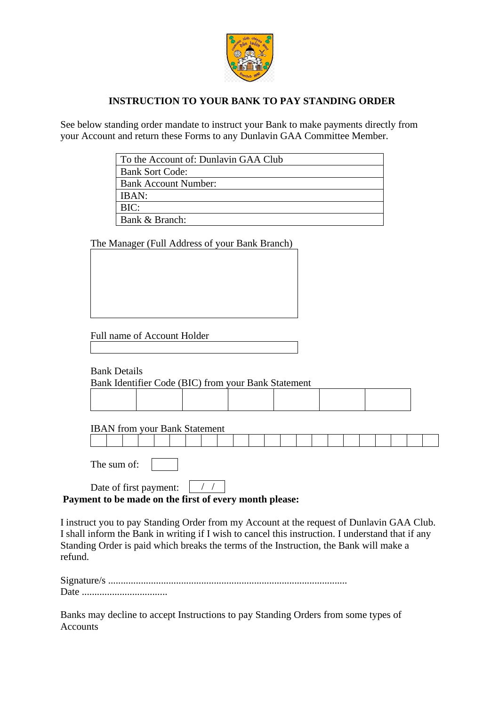

# **INSTRUCTION TO YOUR BANK TO PAY STANDING ORDER**

See below standing order mandate to instruct your Bank to make payments directly from your Account and return these Forms to any Dunlavin GAA Committee Member.

|                     |                             | To the Account of: Dunlavin GAA Club                |  |  |  |  |  |  |
|---------------------|-----------------------------|-----------------------------------------------------|--|--|--|--|--|--|
|                     | <b>Bank Sort Code:</b>      |                                                     |  |  |  |  |  |  |
|                     | <b>Bank Account Number:</b> |                                                     |  |  |  |  |  |  |
|                     | IBAN:<br>BIC:               |                                                     |  |  |  |  |  |  |
|                     | Bank & Branch:              |                                                     |  |  |  |  |  |  |
|                     |                             |                                                     |  |  |  |  |  |  |
|                     |                             | The Manager (Full Address of your Bank Branch)      |  |  |  |  |  |  |
|                     |                             |                                                     |  |  |  |  |  |  |
|                     |                             |                                                     |  |  |  |  |  |  |
|                     |                             |                                                     |  |  |  |  |  |  |
|                     |                             |                                                     |  |  |  |  |  |  |
|                     |                             |                                                     |  |  |  |  |  |  |
|                     |                             |                                                     |  |  |  |  |  |  |
|                     |                             |                                                     |  |  |  |  |  |  |
|                     | Full name of Account Holder |                                                     |  |  |  |  |  |  |
|                     |                             |                                                     |  |  |  |  |  |  |
|                     |                             |                                                     |  |  |  |  |  |  |
| <b>Bank Details</b> |                             |                                                     |  |  |  |  |  |  |
|                     |                             |                                                     |  |  |  |  |  |  |
|                     |                             | Bank Identifier Code (BIC) from your Bank Statement |  |  |  |  |  |  |
|                     |                             |                                                     |  |  |  |  |  |  |
|                     |                             |                                                     |  |  |  |  |  |  |
|                     |                             |                                                     |  |  |  |  |  |  |
|                     |                             | <b>IBAN</b> from your Bank Statement                |  |  |  |  |  |  |
|                     |                             |                                                     |  |  |  |  |  |  |
|                     |                             |                                                     |  |  |  |  |  |  |
|                     |                             |                                                     |  |  |  |  |  |  |
| The sum of:         |                             |                                                     |  |  |  |  |  |  |

### Date of first payment:  $\frac{\sqrt{7}}{2}$ **Payment to be made on the first of every month please:**

I instruct you to pay Standing Order from my Account at the request of Dunlavin GAA Club. I shall inform the Bank in writing if I wish to cancel this instruction. I understand that if any Standing Order is paid which breaks the terms of the Instruction, the Bank will make a refund.

Banks may decline to accept Instructions to pay Standing Orders from some types of Accounts